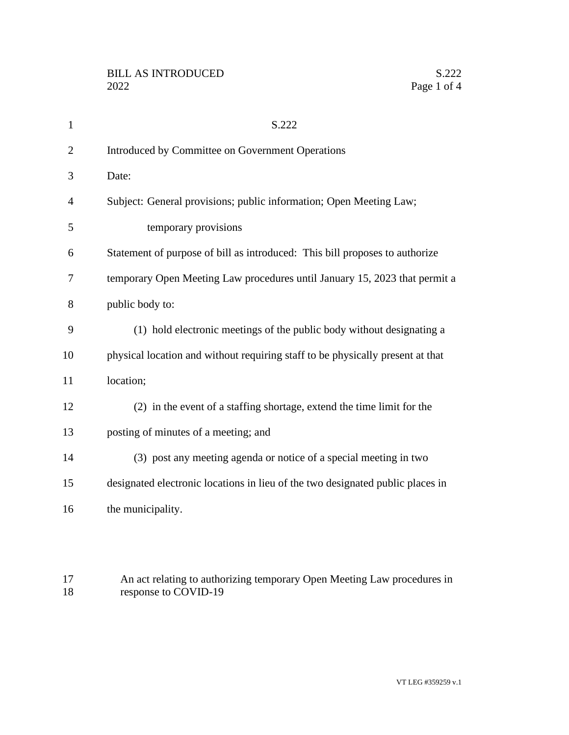| $\mathbf{1}$   | S.222                                                                          |
|----------------|--------------------------------------------------------------------------------|
| $\overline{2}$ | Introduced by Committee on Government Operations                               |
| 3              | Date:                                                                          |
| $\overline{4}$ | Subject: General provisions; public information; Open Meeting Law;             |
| 5              | temporary provisions                                                           |
| 6              | Statement of purpose of bill as introduced: This bill proposes to authorize    |
| 7              | temporary Open Meeting Law procedures until January 15, 2023 that permit a     |
| 8              | public body to:                                                                |
| 9              | (1) hold electronic meetings of the public body without designating a          |
| 10             | physical location and without requiring staff to be physically present at that |
| 11             | location;                                                                      |
| 12             | (2) in the event of a staffing shortage, extend the time limit for the         |
| 13             | posting of minutes of a meeting; and                                           |
| 14             | (3) post any meeting agenda or notice of a special meeting in two              |
| 15             | designated electronic locations in lieu of the two designated public places in |
| 16             | the municipality.                                                              |
|                |                                                                                |

17 An act relating to authorizing temporary Open Meeting Law procedures in 18 response to COVID-19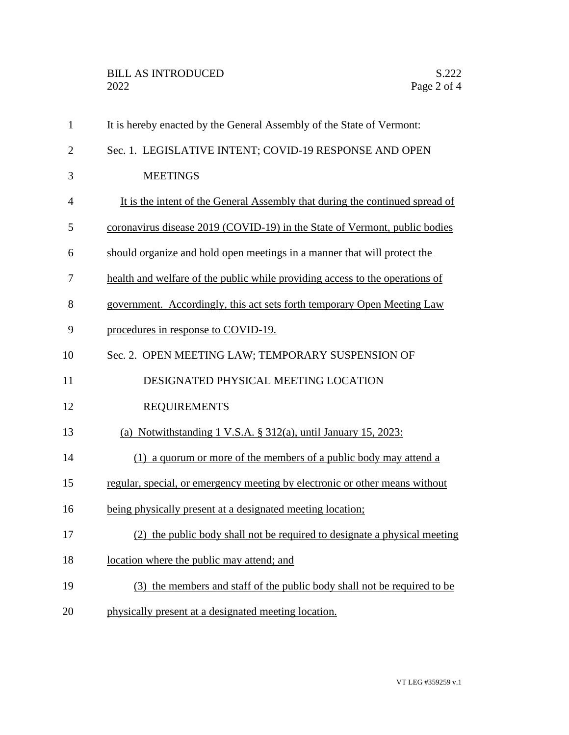| $\mathbf{1}$   | It is hereby enacted by the General Assembly of the State of Vermont:        |
|----------------|------------------------------------------------------------------------------|
| $\mathbf{2}$   | Sec. 1. LEGISLATIVE INTENT; COVID-19 RESPONSE AND OPEN                       |
| 3              | <b>MEETINGS</b>                                                              |
| $\overline{4}$ | It is the intent of the General Assembly that during the continued spread of |
| 5              | coronavirus disease 2019 (COVID-19) in the State of Vermont, public bodies   |
| 6              | should organize and hold open meetings in a manner that will protect the     |
| 7              | health and welfare of the public while providing access to the operations of |
| 8              | government. Accordingly, this act sets forth temporary Open Meeting Law      |
| 9              | procedures in response to COVID-19.                                          |
| 10             | Sec. 2. OPEN MEETING LAW; TEMPORARY SUSPENSION OF                            |
| 11             | DESIGNATED PHYSICAL MEETING LOCATION                                         |
| 12             | <b>REQUIREMENTS</b>                                                          |
| 13             | (a) Notwithstanding $1 \text{ V.S.A. }$ § 312(a), until January 15, 2023:    |
| 14             | (1) a quorum or more of the members of a public body may attend a            |
| 15             | regular, special, or emergency meeting by electronic or other means without  |
| 16             | being physically present at a designated meeting location;                   |
| 17             | (2) the public body shall not be required to designate a physical meeting    |
| 18             | location where the public may attend; and                                    |
| 19             | (3) the members and staff of the public body shall not be required to be     |
| 20             | physically present at a designated meeting location.                         |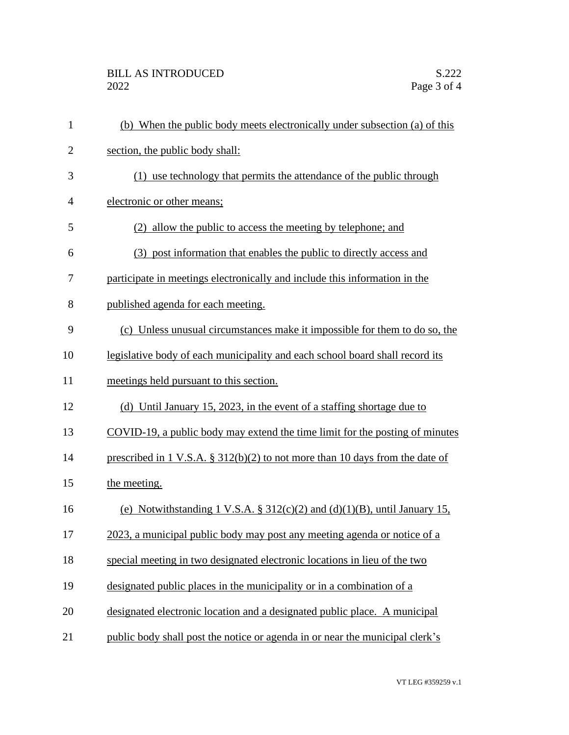| $\mathbf{1}$   | (b) When the public body meets electronically under subsection (a) of this      |
|----------------|---------------------------------------------------------------------------------|
| $\overline{2}$ | section, the public body shall:                                                 |
| 3              | use technology that permits the attendance of the public through<br>(1)         |
| 4              | electronic or other means;                                                      |
| 5              | (2) allow the public to access the meeting by telephone; and                    |
| 6              | (3) post information that enables the public to directly access and             |
| 7              | participate in meetings electronically and include this information in the      |
| 8              | published agenda for each meeting.                                              |
| 9              | (c) Unless unusual circumstances make it impossible for them to do so, the      |
| 10             | legislative body of each municipality and each school board shall record its    |
| 11             | meetings held pursuant to this section.                                         |
| 12             | (d) Until January 15, 2023, in the event of a staffing shortage due to          |
| 13             | COVID-19, a public body may extend the time limit for the posting of minutes    |
| 14             | prescribed in 1 V.S.A. $\S$ 312(b)(2) to not more than 10 days from the date of |
| 15             | the meeting.                                                                    |
| 16             | (e) Notwithstanding 1 V.S.A. § $312(c)(2)$ and $(d)(1)(B)$ , until January 15,  |
| 17             | 2023, a municipal public body may post any meeting agenda or notice of a        |
| 18             | special meeting in two designated electronic locations in lieu of the two       |
| 19             | designated public places in the municipality or in a combination of a           |
| 20             | designated electronic location and a designated public place. A municipal       |
| 21             | public body shall post the notice or agenda in or near the municipal clerk's    |